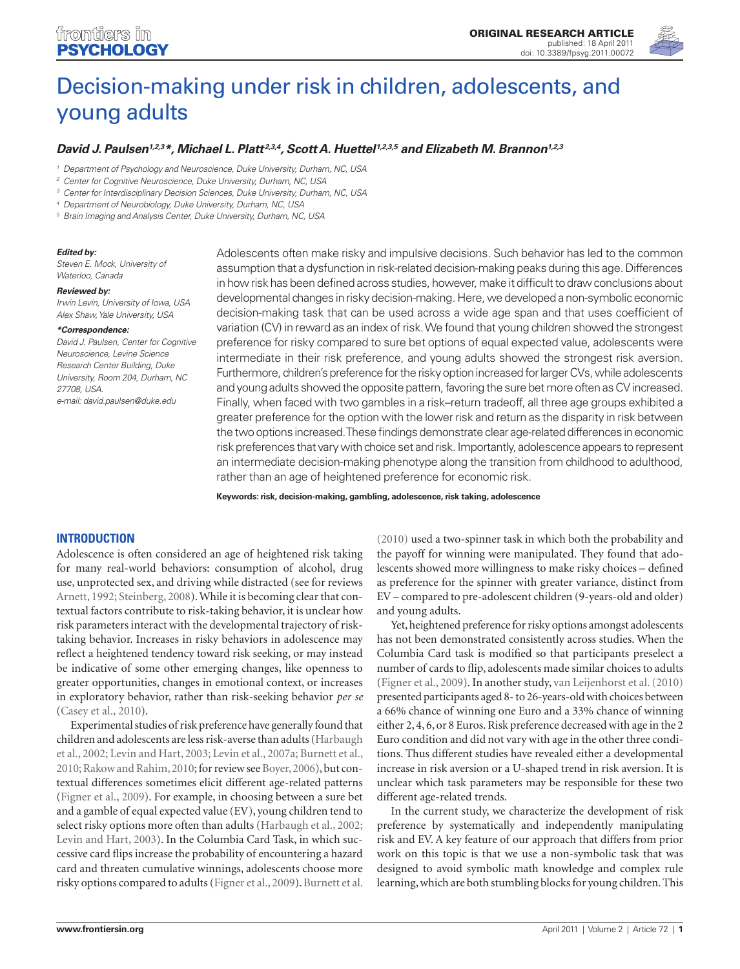

# [Decision-making under risk in children, adolescents, and](http://www.frontiersin.org/developmental_psychology/10.3389/fpsyg.2011.00072/abstract)  [young adults](http://www.frontiersin.org/developmental_psychology/10.3389/fpsyg.2011.00072/abstract)

# *[David J. Paulsen1](http://www.frontiersin.org/people/davidpaulsen/21670),2,3\*, [Michael L. Platt](http://www.frontiersin.org/people/michaelplatt/6614) 2,3,4, [Scott A. Huettel1](http://www.frontiersin.org/people/huettelscott/411),2,3,5 and [Elizabeth M. Brannon](http://www.frontiersin.org/people/elizabethbrannon/7338)1,2,3*

*<sup>1</sup> Department of Psychology and Neuroscience, Duke University, Durham, NC, USA*

*<sup>2</sup> Center for Cognitive Neuroscience, Duke University, Durham, NC, USA*

*<sup>3</sup> Center for Interdisciplinary Decision Sciences, Duke University, Durham, NC, USA*

*<sup>4</sup> Department of Neurobiology, Duke University, Durham, NC, USA*

*<sup>5</sup> Brain Imaging and Analysis Center, Duke University, Durham, NC, USA*

#### *Edited by:*

*Steven E. Mock, University of Waterloo, Canada*

#### *Reviewed by:*

*Irwin Levin, University of Iowa, USA Alex Shaw, Yale University, USA*

#### *\*Correspondence:*

*David J. Paulsen, Center for Cognitive Neuroscience, Levine Science Research Center Building, Duke University, Room 204, Durham, NC 27708, USA. e-mail: david.paulsen@duke.edu*

Adolescents often make risky and impulsive decisions. Such behavior has led to the common assumption that a dysfunction in risk-related decision-making peaks during this age. Differences in how risk has been defined across studies, however, make it difficult to draw conclusions about developmental changes in risky decision-making. Here, we developed a non-symbolic economic decision-making task that can be used across a wide age span and that uses coefficient of variation (CV) in reward as an index of risk. We found that young children showed the strongest preference for risky compared to sure bet options of equal expected value, adolescents were intermediate in their risk preference, and young adults showed the strongest risk aversion. Furthermore, children's preference for the risky option increased for larger CVs, while adolescents and young adults showed the opposite pattern, favoring the sure bet more often as CV increased. Finally, when faced with two gambles in a risk–return tradeoff, all three age groups exhibited a greater preference for the option with the lower risk and return as the disparity in risk between the two options increased. These findings demonstrate clear age-related differences in economic risk preferences that vary with choice set and risk. Importantly, adolescence appears to represent an intermediate decision-making phenotype along the transition from childhood to adulthood, rather than an age of heightened preference for economic risk.

**Keywords: risk, decision-making, gambling, adolescence, risk taking, adolescence**

# **Introduction**

Adolescence is often considered an age of heightened risk taking for many real-world behaviors: consumption of alcohol, drug use, unprotected sex, and driving while distracted (see for reviews Arnett, 1992; Steinberg, 2008). While it is becoming clear that contextual factors contribute to risk-taking behavior, it is unclear how risk parameters interact with the developmental trajectory of risktaking behavior. Increases in risky behaviors in adolescence may reflect a heightened tendency toward risk seeking, or may instead be indicative of some other emerging changes, like openness to greater opportunities, changes in emotional context, or increases in exploratory behavior, rather than risk-seeking behavior *per se* (Casey et al., 2010).

Experimental studies of risk preference have generally found that children and adolescents are less risk-averse than adults (Harbaugh et al., 2002; Levin and Hart, 2003; Levin et al., 2007a; Burnett et al., 2010; Rakow and Rahim, 2010; for review see Boyer, 2006), but contextual differences sometimes elicit different age-related patterns (Figner et al., 2009). For example, in choosing between a sure bet and a gamble of equal expected value (EV), young children tend to select risky options more often than adults (Harbaugh et al., 2002; Levin and Hart, 2003). In the Columbia Card Task, in which successive card flips increase the probability of encountering a hazard card and threaten cumulative winnings, adolescents choose more risky options compared to adults (Figner et al., 2009). Burnett et al.

(2010) used a two-spinner task in which both the probability and the payoff for winning were manipulated. They found that adolescents showed more willingness to make risky choices – defined as preference for the spinner with greater variance, distinct from EV – compared to pre-adolescent children (9-years-old and older) and young adults.

Yet, heightened preference for risky options amongst adolescents has not been demonstrated consistently across studies. When the Columbia Card task is modified so that participants preselect a number of cards to flip, adolescents made similar choices to adults (Figner et al., 2009). In another study, van Leijenhorst et al. (2010) presented participants aged 8- to 26-years-old with choices between a 66% chance of winning one Euro and a 33% chance of winning either 2, 4, 6, or 8 Euros. Risk preference decreased with age in the 2 Euro condition and did not vary with age in the other three conditions. Thus different studies have revealed either a developmental increase in risk aversion or a U-shaped trend in risk aversion. It is unclear which task parameters may be responsible for these two different age-related trends.

In the current study, we characterize the development of risk preference by systematically and independently manipulating risk and EV. A key feature of our approach that differs from prior work on this topic is that we use a non-symbolic task that was designed to avoid symbolic math knowledge and complex rule learning, which are both stumbling blocks for young children. This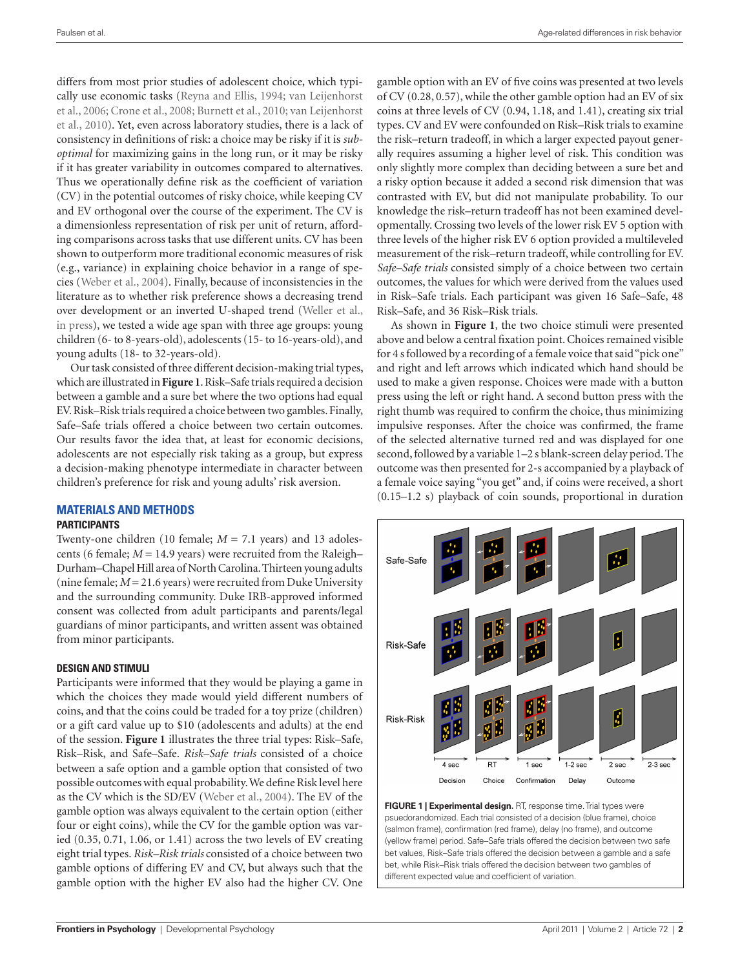differs from most prior studies of adolescent choice, which typically use economic tasks (Reyna and Ellis, 1994; van Leijenhorst et al., 2006; Crone et al., 2008; Burnett et al., 2010; van Leijenhorst et al., 2010). Yet, even across laboratory studies, there is a lack of consistency in definitions of risk: a choice may be risky if it is *suboptimal* for maximizing gains in the long run, or it may be risky if it has greater variability in outcomes compared to alternatives. Thus we operationally define risk as the coefficient of variation (CV) in the potential outcomes of risky choice, while keeping CV and EV orthogonal over the course of the experiment. The CV is a dimensionless representation of risk per unit of return, affording comparisons across tasks that use different units. CV has been shown to outperform more traditional economic measures of risk (e.g., variance) in explaining choice behavior in a range of species (Weber et al., 2004). Finally, because of inconsistencies in the literature as to whether risk preference shows a decreasing trend over development or an inverted U-shaped trend (Weller et al., in press), we tested a wide age span with three age groups: young children (6- to 8-years-old), adolescents (15- to 16-years-old), and young adults (18- to 32-years-old).

Our task consisted of three different decision-making trial types, which are illustrated in **Figure 1**. Risk–Safe trials required a decision between a gamble and a sure bet where the two options had equal EV. Risk–Risk trials required a choice between two gambles. Finally, Safe–Safe trials offered a choice between two certain outcomes. Our results favor the idea that, at least for economic decisions, adolescents are not especially risk taking as a group, but express a decision-making phenotype intermediate in character between children's preference for risk and young adults' risk aversion.

# **Materials and Methods**

#### **Participants**

Twenty-one children (10 female; *M* = 7.1 years) and 13 adolescents (6 female;  $M = 14.9$  years) were recruited from the Raleigh– Durham–Chapel Hill area of North Carolina. Thirteen young adults (nine female;  $M = 21.6$  years) were recruited from Duke University and the surrounding community. Duke IRB-approved informed consent was collected from adult participants and parents/legal guardians of minor participants, and written assent was obtained from minor participants.

#### **Design and stimuli**

Participants were informed that they would be playing a game in which the choices they made would yield different numbers of coins, and that the coins could be traded for a toy prize (children) or a gift card value up to \$10 (adolescents and adults) at the end of the session. **Figure 1** illustrates the three trial types: Risk–Safe, Risk–Risk, and Safe–Safe. *Risk–Safe trials* consisted of a choice between a safe option and a gamble option that consisted of two possible outcomes with equal probability. We define Risk level here as the CV which is the SD/EV (Weber et al., 2004). The EV of the gamble option was always equivalent to the certain option (either four or eight coins), while the CV for the gamble option was varied (0.35, 0.71, 1.06, or 1.41) across the two levels of EV creating eight trial types. *Risk–Risk trials* consisted of a choice between two gamble options of differing EV and CV, but always such that the gamble option with the higher EV also had the higher CV. One

gamble option with an EV of five coins was presented at two levels of CV (0.28, 0.57), while the other gamble option had an EV of six coins at three levels of CV (0.94, 1.18, and 1.41), creating six trial types. CV and EV were confounded on Risk–Risk trials to examine the risk–return tradeoff, in which a larger expected payout generally requires assuming a higher level of risk. This condition was only slightly more complex than deciding between a sure bet and a risky option because it added a second risk dimension that was contrasted with EV, but did not manipulate probability. To our knowledge the risk–return tradeoff has not been examined developmentally. Crossing two levels of the lower risk EV 5 option with three levels of the higher risk EV 6 option provided a multileveled measurement of the risk–return tradeoff, while controlling for EV. *Safe–Safe trials* consisted simply of a choice between two certain outcomes, the values for which were derived from the values used in Risk–Safe trials. Each participant was given 16 Safe–Safe, 48 Risk–Safe, and 36 Risk–Risk trials.

As shown in **Figure 1**, the two choice stimuli were presented above and below a central fixation point. Choices remained visible for 4 s followed by a recording of a female voice that said "pick one" and right and left arrows which indicated which hand should be used to make a given response. Choices were made with a button press using the left or right hand. A second button press with the right thumb was required to confirm the choice, thus minimizing impulsive responses. After the choice was confirmed, the frame of the selected alternative turned red and was displayed for one second, followed by a variable 1–2 s blank-screen delay period. The outcome was then presented for 2-s accompanied by a playback of a female voice saying "you get" and, if coins were received, a short (0.15–1.2 s) playback of coin sounds, proportional in duration



**Figure 1 | Experimental design.** RT, response time. Trial types were psuedorandomized. Each trial consisted of a decision (blue frame), choice (salmon frame), confirmation (red frame), delay (no frame), and outcome (yellow frame) period. Safe–Safe trials offered the decision between two safe bet values, Risk–Safe trials offered the decision between a gamble and a safe bet, while Risk–Risk trials offered the decision between two gambles of different expected value and coefficient of variation.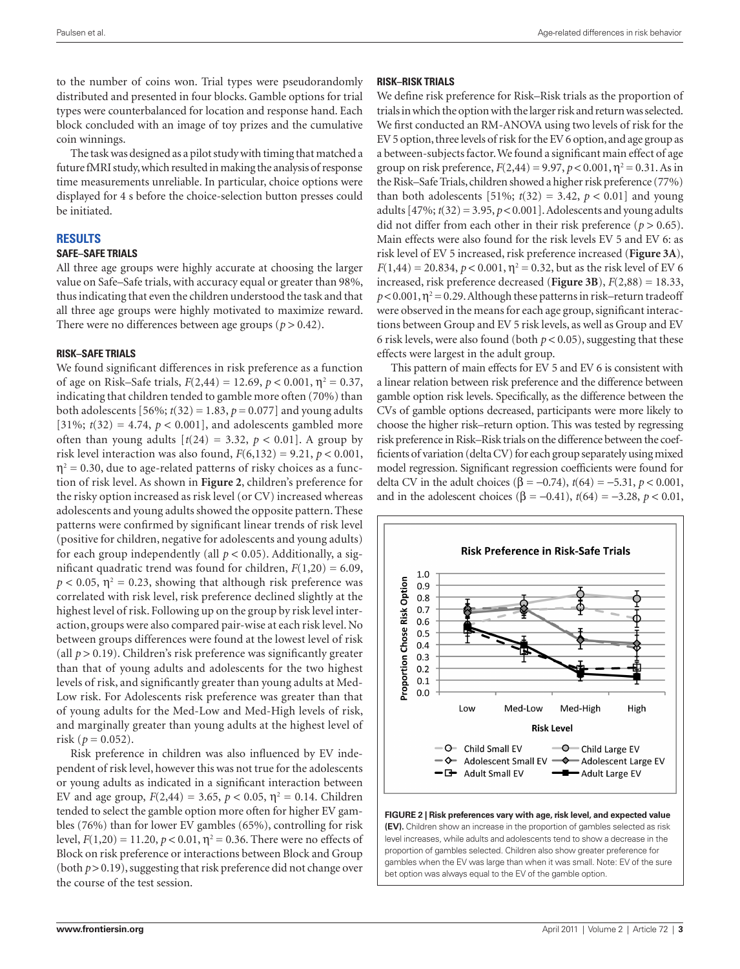to the number of coins won. Trial types were pseudorandomly distributed and presented in four blocks. Gamble options for trial types were counterbalanced for location and response hand. Each block concluded with an image of toy prizes and the cumulative coin winnings.

The task was designed as a pilot study with timing that matched a future fMRI study, which resulted in making the analysis of response time measurements unreliable. In particular, choice options were displayed for 4 s before the choice-selection button presses could be initiated.

#### **Results**

#### **Safe–Safe trials**

All three age groups were highly accurate at choosing the larger value on Safe–Safe trials, with accuracy equal or greater than 98%, thus indicating that even the children understood the task and that all three age groups were highly motivated to maximize reward. There were no differences between age groups ( $p > 0.42$ ).

#### **Risk–Safe trials**

We found significant differences in risk preference as a function of age on Risk–Safe trials,  $F(2,44) = 12.69$ ,  $p < 0.001$ ,  $\eta^2 = 0.37$ , indicating that children tended to gamble more often (70%) than both adolescents  $[56\%; t(32) = 1.83, p = 0.077]$  and young adults [31%;  $t(32) = 4.74$ ,  $p < 0.001$ ], and adolescents gambled more often than young adults  $[t(24) = 3.32, p < 0.01]$ . A group by risk level interaction was also found,  $F(6,132) = 9.21$ ,  $p < 0.001$ ,  $\eta^2$  = 0.30, due to age-related patterns of risky choices as a function of risk level. As shown in **Figure 2**, children's preference for the risky option increased as risk level (or CV) increased whereas adolescents and young adults showed the opposite pattern. These patterns were confirmed by significant linear trends of risk level (positive for children, negative for adolescents and young adults) for each group independently (all  $p < 0.05$ ). Additionally, a significant quadratic trend was found for children,  $F(1,20) = 6.09$ ,  $p < 0.05$ ,  $\eta^2 = 0.23$ , showing that although risk preference was correlated with risk level, risk preference declined slightly at the highest level of risk. Following up on the group by risk level interaction, groups were also compared pair-wise at each risk level. No between groups differences were found at the lowest level of risk (all  $p > 0.19$ ). Children's risk preference was significantly greater than that of young adults and adolescents for the two highest levels of risk, and significantly greater than young adults at Med-Low risk. For Adolescents risk preference was greater than that of young adults for the Med-Low and Med-High levels of risk, and marginally greater than young adults at the highest level of risk ( $p = 0.052$ ).

Risk preference in children was also influenced by EV independent of risk level, however this was not true for the adolescents or young adults as indicated in a significant interaction between EV and age group,  $F(2,44) = 3.65$ ,  $p < 0.05$ ,  $\eta^2 = 0.14$ . Children tended to select the gamble option more often for higher EV gambles (76%) than for lower EV gambles (65%), controlling for risk level,  $F(1,20) = 11.20$ ,  $p < 0.01$ ,  $\eta^2 = 0.36$ . There were no effects of Block on risk preference or interactions between Block and Group (both  $p > 0.19$ ), suggesting that risk preference did not change over the course of the test session.

#### **Risk–Risk trials**

We define risk preference for Risk–Risk trials as the proportion of trials in which the option with the larger risk and return was selected. We first conducted an RM-ANOVA using two levels of risk for the EV 5 option, three levels of risk for the EV 6 option, and age group as a between-subjects factor. We found a significant main effect of age group on risk preference,  $F(2,44) = 9.97$ ,  $p < 0.001$ ,  $\eta^2 = 0.31$ . As in the Risk–Safe Trials, children showed a higher risk preference (77%) than both adolescents  $[51\%; t(32) = 3.42, p < 0.01]$  and young adults  $[47\%; t(32) = 3.95, p < 0.001]$ . Adolescents and young adults did not differ from each other in their risk preference ( $p > 0.65$ ). Main effects were also found for the risk levels EV 5 and EV 6: as risk level of EV 5 increased, risk preference increased (**Figure 3A**),  $F(1,44) = 20.834, p < 0.001, \eta^2 = 0.32$ , but as the risk level of EV 6 increased, risk preference decreased (**Figure 3B**), *F*(2,88) = 18.33,  $p < 0.001$ ,  $\eta^2 = 0.29$ . Although these patterns in risk–return tradeoff were observed in the means for each age group, significant interactions between Group and EV 5 risk levels, as well as Group and EV 6 risk levels, were also found (both  $p < 0.05$ ), suggesting that these effects were largest in the adult group.

This pattern of main effects for EV 5 and EV 6 is consistent with a linear relation between risk preference and the difference between gamble option risk levels. Specifically, as the difference between the CVs of gamble options decreased, participants were more likely to choose the higher risk–return option. This was tested by regressing risk preference in Risk–Risk trials on the difference between the coefficients of variation (delta CV) for each group separately using mixed model regression. Significant regression coefficients were found for delta CV in the adult choices (β = −0.74), *t*(64) = −5.31, *p* < 0.001, and in the adolescent choices (β = -0.41),  $t(64) = -3.28$ ,  $p < 0.01$ ,



**(EV).** Children show an increase in the proportion of gambles selected as risk level increases, while adults and adolescents tend to show a decrease in the proportion of gambles selected. Children also show greater preference for gambles when the EV was large than when it was small. Note: EV of the sure bet option was always equal to the EV of the gamble option.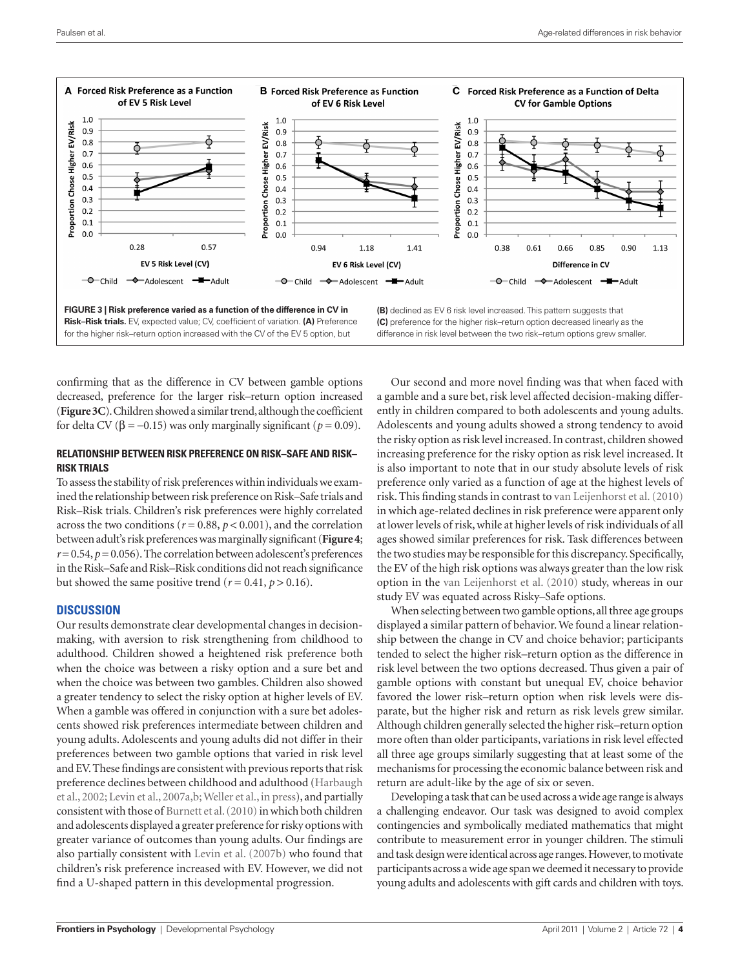

confirming that as the difference in CV between gamble options decreased, preference for the larger risk–return option increased (**Figure 3C**). Children showed a similar trend, although the coefficient for delta CV ( $\beta$  = -0.15) was only marginally significant ( $p$  = 0.09).

### **Relationship between risk preference on Risk–Safe and Risk– Risk trials**

To assess the stability of risk preferences within individuals we examined the relationship between risk preference on Risk–Safe trials and Risk–Risk trials. Children's risk preferences were highly correlated across the two conditions ( $r = 0.88$ ,  $p < 0.001$ ), and the correlation between adult's risk preferences was marginally significant (**Figure4**;  $r=0.54$ ,  $p=0.056$ ). The correlation between adolescent's preferences in the Risk–Safe and Risk–Risk conditions did not reach significance but showed the same positive trend ( $r = 0.41$ ,  $p > 0.16$ ).

#### **Discussion**

Our results demonstrate clear developmental changes in decisionmaking, with aversion to risk strengthening from childhood to adulthood. Children showed a heightened risk preference both when the choice was between a risky option and a sure bet and when the choice was between two gambles. Children also showed a greater tendency to select the risky option at higher levels of EV. When a gamble was offered in conjunction with a sure bet adolescents showed risk preferences intermediate between children and young adults. Adolescents and young adults did not differ in their preferences between two gamble options that varied in risk level and EV. These findings are consistent with previous reports that risk preference declines between childhood and adulthood (Harbaugh et al., 2002; Levin et al., 2007a,b; Weller et al., in press), and partially consistent with those of Burnett et al. (2010) in which both children and adolescents displayed a greater preference for risky options with greater variance of outcomes than young adults. Our findings are also partially consistent with Levin et al. (2007b) who found that children's risk preference increased with EV. However, we did not find a U-shaped pattern in this developmental progression.

Our second and more novel finding was that when faced with a gamble and a sure bet, risk level affected decision-making differently in children compared to both adolescents and young adults. Adolescents and young adults showed a strong tendency to avoid the risky option as risk level increased. In contrast, children showed increasing preference for the risky option as risk level increased. It is also important to note that in our study absolute levels of risk preference only varied as a function of age at the highest levels of risk. This finding stands in contrast to van Leijenhorst et al. (2010) in which age-related declines in risk preference were apparent only at lower levels of risk, while at higher levels of risk individuals of all ages showed similar preferences for risk. Task differences between the two studies may be responsible for this discrepancy. Specifically, the EV of the high risk options was always greater than the low risk option in the van Leijenhorst et al. (2010) study, whereas in our study EV was equated across Risky–Safe options.

When selecting between two gamble options, all three age groups displayed a similar pattern of behavior. We found a linear relationship between the change in CV and choice behavior; participants tended to select the higher risk–return option as the difference in risk level between the two options decreased. Thus given a pair of gamble options with constant but unequal EV, choice behavior favored the lower risk–return option when risk levels were disparate, but the higher risk and return as risk levels grew similar. Although children generally selected the higher risk–return option more often than older participants, variations in risk level effected all three age groups similarly suggesting that at least some of the mechanisms for processing the economic balance between risk and return are adult-like by the age of six or seven.

Developing a task that can be used across a wide age range is always a challenging endeavor. Our task was designed to avoid complex contingencies and symbolically mediated mathematics that might contribute to measurement error in younger children. The stimuli and task design were identical across age ranges. However, to motivate participants across a wide age span we deemed it necessary to provide young adults and adolescents with gift cards and children with toys.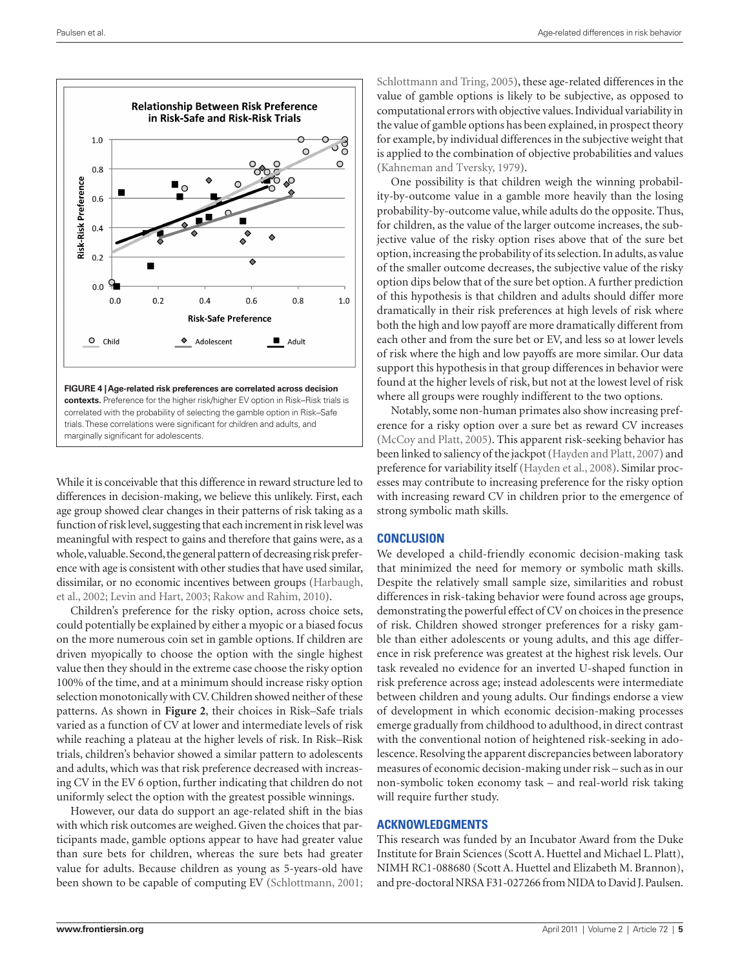

While it is conceivable that this difference in reward structure led to differences in decision-making, we believe this unlikely. First, each age group showed clear changes in their patterns of risk taking as a function of risk level, suggesting that each increment in risk level was meaningful with respect to gains and therefore that gains were, as a whole, valuable. Second, the general pattern of decreasing risk preference with age is consistent with other studies that have used similar, dissimilar, or no economic incentives between groups (Harbaugh, et al., 2002; Levin and Hart, 2003; Rakow and Rahim, 2010).

Children's preference for the risky option, across choice sets, could potentially be explained by either a myopic or a biased focus on the more numerous coin set in gamble options. If children are driven myopically to choose the option with the single highest value then they should in the extreme case choose the risky option 100% of the time, and at a minimum should increase risky option selection monotonically with CV. Children showed neither of these patterns. As shown in **Figure 2**, their choices in Risk–Safe trials varied as a function of CV at lower and intermediate levels of risk while reaching a plateau at the higher levels of risk. In Risk–Risk trials, children's behavior showed a similar pattern to adolescents and adults, which was that risk preference decreased with increasing CV in the EV 6 option, further indicating that children do not uniformly select the option with the greatest possible winnings.

However, our data do support an age-related shift in the bias with which risk outcomes are weighed. Given the choices that participants made, gamble options appear to have had greater value than sure bets for children, whereas the sure bets had greater value for adults. Because children as young as 5-years-old have been shown to be capable of computing EV (Schlottmann, 2001; Schlottmann and Tring, 2005), these age-related differences in the value of gamble options is likely to be subjective, as opposed to computational errors with objective values. Individual variability in the value of gamble options has been explained, in prospect theory for example, by individual differences in the subjective weight that is applied to the combination of objective probabilities and values (Kahneman and Tversky, 1979).

One possibility is that children weigh the winning probability-by-outcome value in a gamble more heavily than the losing probability-by-outcome value, while adults do the opposite. Thus, for children, as the value of the larger outcome increases, the subjective value of the risky option rises above that of the sure bet option, increasing the probability of its selection. In adults, as value of the smaller outcome decreases, the subjective value of the risky option dips below that of the sure bet option. A further prediction of this hypothesis is that children and adults should differ more dramatically in their risk preferences at high levels of risk where both the high and low payoff are more dramatically different from each other and from the sure bet or EV, and less so at lower levels of risk where the high and low payoffs are more similar. Our data support this hypothesis in that group differences in behavior were found at the higher levels of risk, but not at the lowest level of risk where all groups were roughly indifferent to the two options.

Notably, some non-human primates also show increasing preference for a risky option over a sure bet as reward CV increases (McCoy and Platt, 2005). This apparent risk-seeking behavior has been linked to saliency of the jackpot (Hayden and Platt, 2007) and preference for variability itself (Hayden et al., 2008). Similar processes may contribute to increasing preference for the risky option with increasing reward CV in children prior to the emergence of strong symbolic math skills.

#### **Conclusion**

We developed a child-friendly economic decision-making task that minimized the need for memory or symbolic math skills. Despite the relatively small sample size, similarities and robust differences in risk-taking behavior were found across age groups, demonstrating the powerful effect of CV on choices in the presence of risk. Children showed stronger preferences for a risky gamble than either adolescents or young adults, and this age difference in risk preference was greatest at the highest risk levels. Our task revealed no evidence for an inverted U-shaped function in risk preference across age; instead adolescents were intermediate between children and young adults. Our findings endorse a view of development in which economic decision-making processes emerge gradually from childhood to adulthood, in direct contrast with the conventional notion of heightened risk-seeking in adolescence. Resolving the apparent discrepancies between laboratory measures of economic decision-making under risk – such as in our non-symbolic token economy task – and real-world risk taking will require further study.

## **Acknowledgments**

This research was funded by an Incubator Award from the Duke Institute for Brain Sciences (Scott A. Huettel and Michael L. Platt), NIMH RC1-088680 (Scott A. Huettel and Elizabeth M. Brannon), and pre-doctoral NRSA F31-027266 from NIDA to David J. Paulsen.